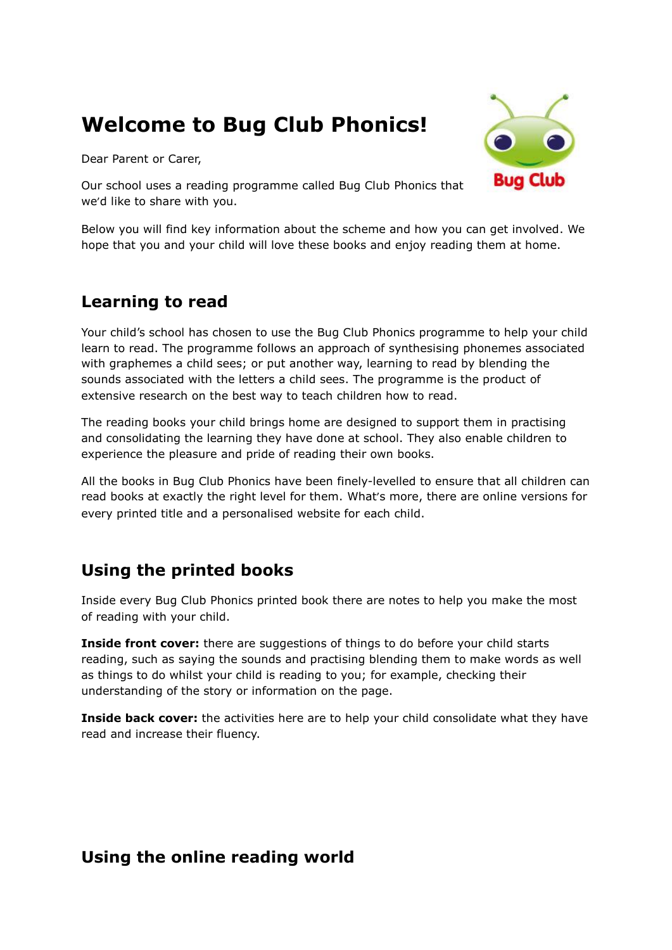# **Welcome to Bug Club Phonics!**

Dear Parent or Carer,



Our school uses a reading programme called Bug Club Phonics that we'd like to share with you.

Below you will find key information about the scheme and how you can get involved. We hope that you and your child will love these books and enjoy reading them at home.

### **Learning to read**

Your child's school has chosen to use the Bug Club Phonics programme to help your child learn to read. The programme follows an approach of synthesising phonemes associated with graphemes a child sees; or put another way, learning to read by blending the sounds associated with the letters a child sees. The programme is the product of extensive research on the best way to teach children how to read.

The reading books your child brings home are designed to support them in practising and consolidating the learning they have done at school. They also enable children to experience the pleasure and pride of reading their own books.

All the books in Bug Club Phonics have been finely-levelled to ensure that all children can read books at exactly the right level for them. What's more, there are online versions for every printed title and a personalised website for each child.

### **Using the printed books**

Inside every Bug Club Phonics printed book there are notes to help you make the most of reading with your child.

**Inside front cover:** there are suggestions of things to do before your child starts reading, such as saying the sounds and practising blending them to make words as well as things to do whilst your child is reading to you; for example, checking their understanding of the story or information on the page.

**Inside back cover:** the activities here are to help your child consolidate what they have read and increase their fluency.

### **Using the online reading world**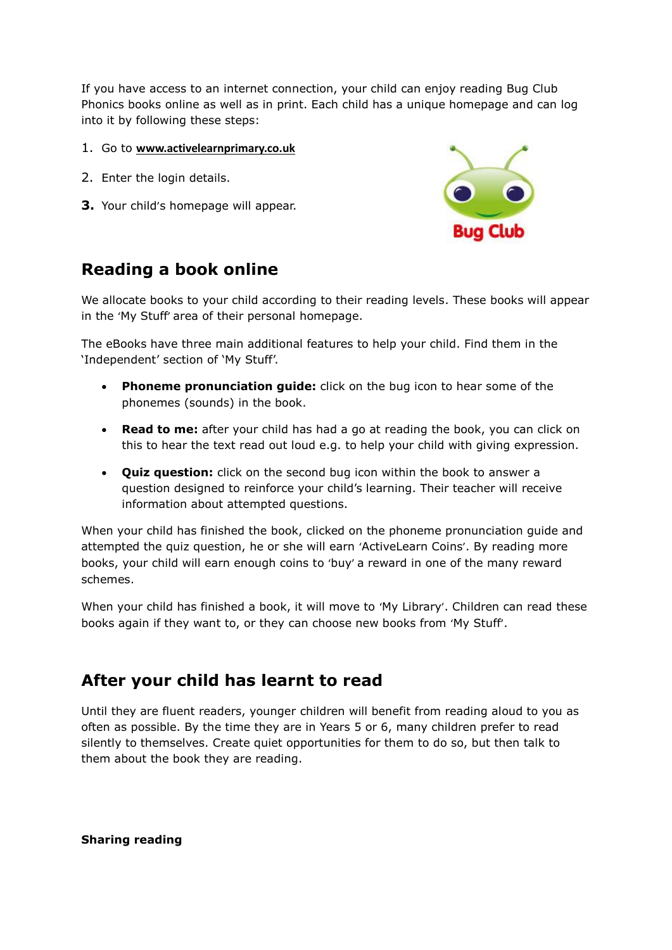If you have access to an internet connection, your child can enjoy reading Bug Club Phonics books online as well as in print. Each child has a unique homepage and can log into it by following these steps:

#### 1. Go to **[www.activelearnprimary.co.uk](http://www.activelearnprimary.co.uk/)**

- 2. Enter the login details.
- **3.** Your child's homepage will appear.



# **Reading a book online**

We allocate books to your child according to their reading levels. These books will appear in the 'My Stuff' area of their personal homepage.

The eBooks have three main additional features to help your child. Find them in the 'Independent' section of 'My Stuff'.

- **Phoneme pronunciation guide:** click on the bug icon to hear some of the phonemes (sounds) in the book.
- **Read to me:** after your child has had a go at reading the book, you can click on this to hear the text read out loud e.g. to help your child with giving expression.
- **Quiz question:** click on the second bug icon within the book to answer a question designed to reinforce your child's learning. Their teacher will receive information about attempted questions.

When your child has finished the book, clicked on the phoneme pronunciation guide and attempted the quiz question, he or she will earn 'ActiveLearn Coins'. By reading more books, your child will earn enough coins to 'buy' a reward in one of the many reward schemes.

When your child has finished a book, it will move to 'My Library'. Children can read these books again if they want to, or they can choose new books from 'My Stuff'.

### **After your child has learnt to read**

Until they are fluent readers, younger children will benefit from reading aloud to you as often as possible. By the time they are in Years 5 or 6, many children prefer to read silently to themselves. Create quiet opportunities for them to do so, but then talk to them about the book they are reading.

**Sharing reading**